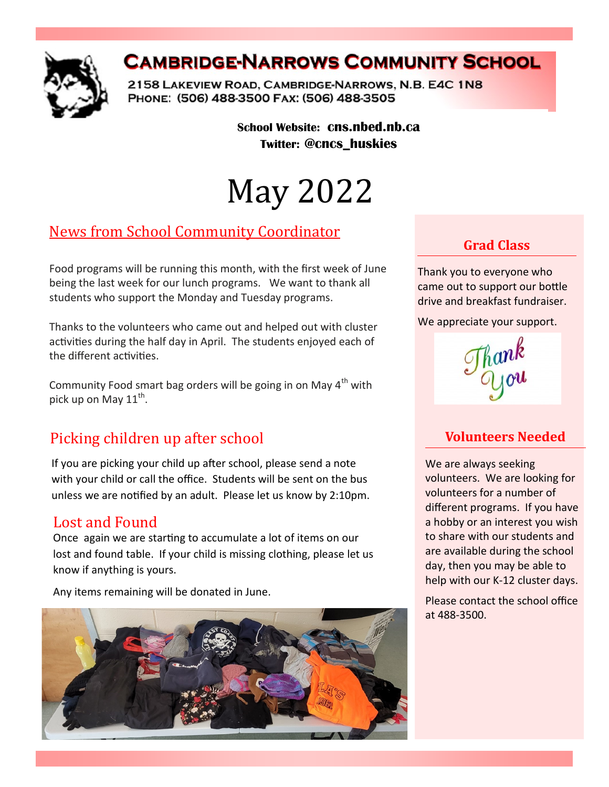

# **CAMBRIDGE-NARROWS COMMUNITY SCHOOL**

2158 LAKEVIEW ROAD, CAMBRIDGE-NARROWS, N.B. E4C 1N8 PHONE: (506) 488-3500 FAX: (506) 488-3505

> **School Website: cns.nbed.nb.ca Twitter: @cncs\_huskies**

# May 2022

# News from School Community Coordinator

Food programs will be running this month, with the first week of June being the last week for our lunch programs. We want to thank all students who support the Monday and Tuesday programs.

Thanks to the volunteers who came out and helped out with cluster activities during the half day in April. The students enjoyed each of the different activities.

Community Food smart bag orders will be going in on May  $4<sup>th</sup>$  with pick up on May 11<sup>th</sup>.

# Picking children up after school

If you are picking your child up after school, please send a note with your child or call the office. Students will be sent on the bus unless we are notified by an adult. Please let us know by 2:10pm.

#### Lost and Found

Once again we are starting to accumulate a lot of items on our lost and found table. If your child is missing clothing, please let us know if anything is yours.

Any items remaining will be donated in June.



# **Grad Class**

Thank you to everyone who came out to support our bottle drive and breakfast fundraiser.

We appreciate your support.

#### **Volunteers Needed**

We are always seeking volunteers. We are looking for volunteers for a number of different programs. If you have a hobby or an interest you wish to share with our students and are available during the school day, then you may be able to help with our K-12 cluster days.

Please contact the school office at 488-3500.